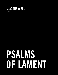

# PSALMS OF LAMENT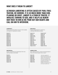## WHAT DOES IT MEAN TO LAMENT?

### ALTHOUGH LAMENTING IS OFTEN CAUSED BY PAIN, FRUS-TRATION, OR SORROW, IT IS SO MUCH MORE THAN COM-PLAINING OR GRIEF. LAMENT IS A FORM OF PRAYER, IT INVOLVES TURNING TO GOD, AND IT HELPS US RENEW OUR TRUST IN HIM AS WE POUR OUT OUR HEARTS AND CALL ON HIM TO INTERVENE.

#### **COMMUNITY**

Prayers expressing deep sorrow for the troubles of a nation or a group as a whole.

#### Psalm 12

Psalm 44 Psalm 58 Psalm 60 Psalm 74 Psalm 79 Psalm 80 Psalm 90 Psalm 94 Psalm 123 Psalm 126 Psalm 129

#### **PENITENTIAL**

Prayers specifically for forgiveness from sins that have been committed.

#### Psalm 6

Psalm 32 Psalm 38 Psalm 51 Psalm 102 Psalm 130 Psalm 143

#### **INDIVIDUAL**

Prayers personalized to specific to individual difficulties and pain.

| Psalm 3-5          | <b>Psalm 52-57</b> |
|--------------------|--------------------|
| Psalm 7            | Psalm 59           |
| <b>Psalm 9-10</b>  | Psalm 61           |
| <b>Psalm 13-14</b> | Psalm 64           |
| Psalm 17           | Psalm 70           |
| Psalm 22           | Psalm 71           |
| <b>Psalm 25-28</b> | Psalm 77           |
| Psalm 31           | Psalm 86           |
| Psalm 36           | Psalm 89           |
| Psalm 39           | Psalm 120          |
| Psalm 40:12-17     | Psalm 139          |
| Psalm 41-43        | Psalm 141-142      |

#### **IMPRECATORY**

More radical prayers; curses are pronounced on those who have caused crisis or pain.\*

Psalm 35 Psalm 69 Psalm 83 Psalm 88 Psalm 109 Psalm 137 Psalm 140

*\*We often struggle with prayers like this because in our culture it feels like we have no enemies, or as Christians we know the commands to love our enemies. But these prayers are great to use against spiritual warfare, your own sin/flesh, or corruption you see in the world, injustice, etc.*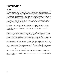## PRAYER EXAMPLE

#### **PSALM 42**

Just like the deer pants for flowing streams of water, so my soul, o Lord my God, my soul pants and thirsts and longs for you. My God, I long for you. You, the living God, the God of the nations, the God of my soul, the God who saves me, the God who is dear to me, I long for you, Most High. When I shall I be with you forever, or when will you appear again to me, to sustain me? I feel myself draining, and growing in sorrow. I feel myself drifting, and losing my strength. Those around me mock me, saying that you are distant, and my own soul speaks lies to me, that you don't care. I remember, God, I remember, how I would come before you, with the rest of the Body, and I would sing praises to your name, I would feel like I was ascending into the very throne room of grace. I would sing shouts of praise, and I would be connected to you. I would lift up shouts before you, God.

O soul, foolish soul, why are you downcast? Why are you so discouraged, why do you lose heart? Why so much turmoil, so much stress? Why the lack of joy? Hope in your God; He is indeed your salvation, He is indeed your God. He has not forgotten, He loves deeply, find strength in Him.

My soul is cast down within me, and therefore, I will remember you. Because I feel sad, I will remember you all the more, and think of you more and more fervently. You are my sustainer, I have none besides you. From the moment of my birth until now it is clear that you have been ever present, and never change. You have been performing miracles, and you have showcased your glory to me. Deep calls to deep, floods rise up, the roar of your waterfalls comes upon me, they crash over me, and it feels like chaos! Yet by the day you call your steadfast love, you remind me of the message of the cross. At night you power over me, and remind me of the truth, you have saved me! God, I am yours, you have saved. I sing to you in song, see you in the Scriptures, I speak to you through prayers. When I doubt, I ask you, where you are, do you still love me? Why have you forgotten me? My emotions, they are what rages! My emotions become my main enemy. My emotions nearly taunt me. I stop believing facts and begin believing feelings. Up and down, back and forth, basing my existence on what I'm feeling! As they speak to me, asking "Where is your God," I must recognize them for what they are.

Why are you sad, o soul? Why allow these emotions to change you? Hope in God, for again, and one day forever, will He be praised! He already has saved you, and will one day eternally save you! He is our salvation, and He has already saved, and in this we can rejoice, and one day will rejoice forever.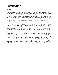# PRAYER EXAMPLE

#### **PSALM 6**

God, please have mercy on me. Please be patient with me and help me. I know I deserve your anger right now and you would be right to discipline me. But please, have compassion on me and show me your kindness despite my failure. I feel so weak, so helpless, so unable to right the wrongs that I have done. Would you change me? Would you heal me and save me from my sin? I ache and groan because I'm suffering in this life, most of it from my own doing and I hate what I struggle with. My very body, my bones and my heart, are in so much pain and I know it's because this world is not my home. How long, God, must I struggle? Will you please remove this from me and bring me back to you again? I don't want this anymore, but I can't save myself.

Show yourself to me, Lord, for you are my only rescue and my help in times of need. Show me the way out from under this weight. I know you are able to save me. I know you are steadfast and faithful even when I'm not. I know your love for me never ends and I beg you for mercy because of this love for me. Remember your love for me...this is the only hope I have. Won't you save me from this so that I can praise you instead? I want to live fully in you, and without you, there is nothing for me but death.

Hear my cries, God! I feel like all this sadness has consumed me. All I do is cry, day and night. I'm full of grief and it's starting to blur my vision. I can't even see straight anymore with all my tears and sorrow as my enemies surround me. I'm done with this! Anyone who is doing wrong or seeking trouble, get away from me! I know that if I resist the devil, he too will have to run away. The Lord, my God, my refuge, he has heard my cry for help. He has heard all my tears; he is so aware of me! He will answer me and come to my rescue. I am confident in him! Everyone who is against me, who is trying to take me down, they will be ashamed and afraid because of my God. Though they may come for me, they will turn back in embarrassment. They will not succeed in their evil plans.